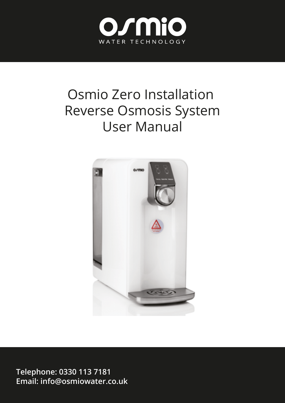

# Osmio Zero Installation Reverse Osmosis System User Manual



**Telephone: 0330 113 7181 Email: info@osmiowater.co.uk**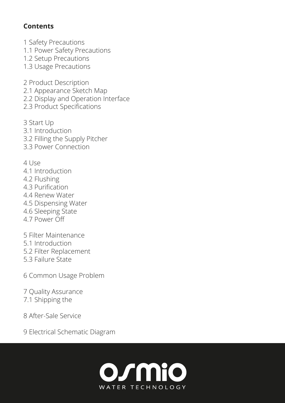#### **Contents**

1 Safety Precautions 1.1 Power Safety Precautions 1.2 Setup Precautions 1.3 Usage Precautions

2 Product Description 2.1 Appearance Sketch Map 2.2 Display and Operation Interface 2.3 Product Specifications

3 Start Up 3.1 Introduction 3.2 Filling the Supply Pitcher 3.3 Power Connection

4 Use

- 4.1 Introduction
- 4.2 Flushing
- 4.3 Purification
- 4.4 Renew Water
- 4.5 Dispensing Water
- 4.6 Sleeping State
- 4.7 Power Off
- 5 Filter Maintenance
- 5.1 Introduction
- 5.2 Filter Replacement
- 5.3 Failure State
- 6 Common Usage Problem
- 7 Quality Assurance 7.1 Shipping the
- 8 After-Sale Service
- 9 Electrical Schematic Diagram

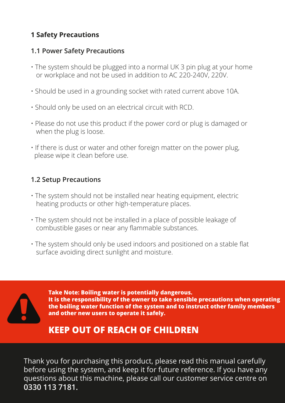#### **1 Safety Precautions**

#### **1.1 Power Safety Precautions**

- The system should be plugged into a normal UK 3 pin plug at your home or workplace and not be used in addition to AC 220-240V, 220V.
- Should be used in a grounding socket with rated current above 10A.
- Should only be used on an electrical circuit with RCD.
- Please do not use this product if the power cord or plug is damaged or when the plug is loose.
- If there is dust or water and other foreign matter on the power plug, please wipe it clean before use.

#### **1.2 Setup Precautions**

- The system should not be installed near heating equipment, electric heating products or other high-temperature places.
- The system should not be installed in a place of possible leakage of combustible gases or near any flammable substances.
- The system should only be used indoors and positioned on a stable flat surface avoiding direct sunlight and moisture.



**Take Note: Boiling water is potentially dangerous. It is the responsibility of the owner to take sensible precautions when operating the boiling water function of the system and to instruct other family members and other new users to operate it safely.** 

# **KEEP OUT OF REACH OF CHILDREN**

Thank you for purchasing this product, please read this manual carefully before using the system, and keep it for future reference. If you have any questions about this machine, please call our customer service centre on **0330 113 7181.**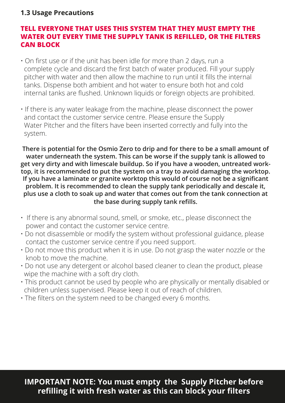#### **1.3 Usage Precautions**

#### **TELL EVERYONE THAT USES THIS SYSTEM THAT THEY MUST EMPTY THE WATER OUT EVERY TIME THE SUPPLY TANK IS REFILLED, OR THE FILTERS CAN BLOCK**

- On first use or if the unit has been idle for more than 2 days, run a complete cycle and discard the first batch of water produced. Fill your supply pitcher with water and then allow the machine to run until it fills the internal tanks. Dispense both ambient and hot water to ensure both hot and cold internal tanks are flushed. Unknown liquids or foreign objects are prohibited.
- If there is any water leakage from the machine, please disconnect the power and contact the customer service centre. Please ensure the Supply Water Pitcher and the filters have been inserted correctly and fully into the system.

**There is potential for the Osmio Zero to drip and for there to be a small amount of water underneath the system. This can be worse if the supply tank is allowed to get very dirty and with limescale buildup. So if you have a wooden, untreated worktop, it is recommended to put the system on a tray to avoid damaging the worktop. If you have a laminate or granite worktop this would of course not be a significant problem. It is recommended to clean the supply tank periodically and descale it, plus use a cloth to soak up and water that comes out from the tank connection at the base during supply tank refills.**

- If there is any abnormal sound, smell, or smoke, etc., please disconnect the power and contact the customer service centre.
- Do not disassemble or modify the system without professional guidance, please contact the customer service centre if you need support.
- Do not move this product when it is in use. Do not grasp the water nozzle or the knob to move the machine.
- Do not use any detergent or alcohol based cleaner to clean the product, please wipe the machine with a soft dry cloth.
- This product cannot be used by people who are physically or mentally disabled or children unless supervised. Please keep it out of reach of children.
- The filters on the system need to be changed every 6 months.

#### **IMPORTANT NOTE: You must empty the Supply Pitcher before refilling it with fresh water as this can block your filters**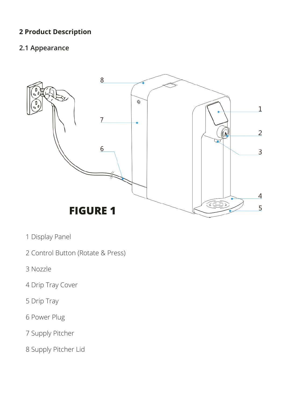#### **2 Product Description**

#### **2.1 Appearance**



- 1 Display Panel
- 2 Control Button (Rotate & Press)
- 3 Nozzle
- 4 Drip Tray Cover
- 5 Drip Tray
- 6 Power Plug
- 7 Supply Pitcher
- 8 Supply Pitcher Lid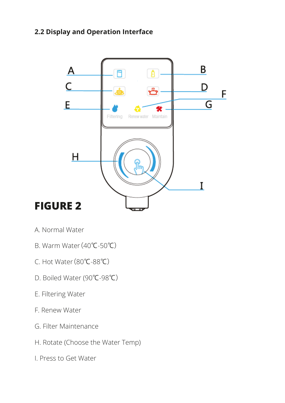#### **2.2 Display and Operation Interface**



- A. Normal Water
- B. Warm Water(40℃-50℃)
- C. Hot Water(80℃-88℃)
- D. Boiled Water (90℃-98℃)
- E. Filtering Water
- F. Renew Water
- G. Filter Maintenance
- H. Rotate (Choose the Water Temp)
- I. Press to Get Water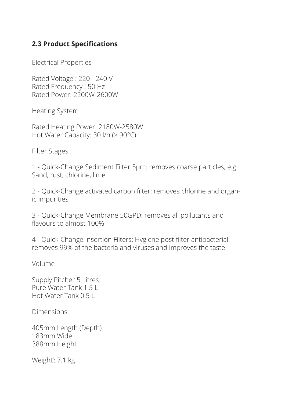#### **2.3 Product Specifications**

Electrical Properties

Rated Voltage : 220 - 240 V Rated Frequency : 50 Hz Rated Power: 2200W-2600W

Heating System

Rated Heating Power: 2180W-2580W Hot Water Capacity: 30 l/h (≥ 90°C)

Filter Stages

1 - Quick-Change Sediment Filter 5μm: removes coarse particles, e.g. Sand, rust, chlorine, lime

2 - Quick-Change activated carbon filter: removes chlorine and organic impurities

3 - Quick-Change Membrane 50GPD: removes all pollutants and flavours to almost 100%

4 - Quick-Change Insertion Filters: Hygiene post filter antibacterial: removes 99% of the bacteria and viruses and improves the taste.

Volume

Supply Pitcher 5 Litres Pure Water Tank 1.5 L Hot Water Tank 0.5 L

Dimensions:

405mm Length (Depth) 183mm Wide 388mm Height

Weight': 7.1 kg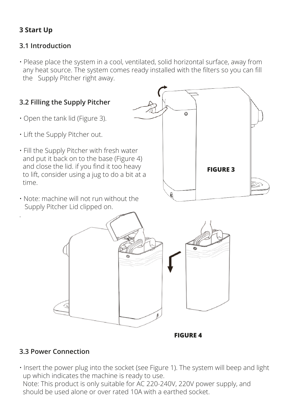# **3 Start Up**

#### **3.1 Introduction**

• Please place the system in a cool, ventilated, solid horizontal surface, away from any heat source. The system comes ready installed with the filters so you can fill the Supply Pitcher right away.



#### **3.3 Power Connection**

• Insert the power plug into the socket (see Figure 1). The system will beep and light up which indicates the machine is ready to use.

 Note: This product is only suitable for AC 220-240V, 220V power supply, and should be used alone or over rated 10A with a earthed socket.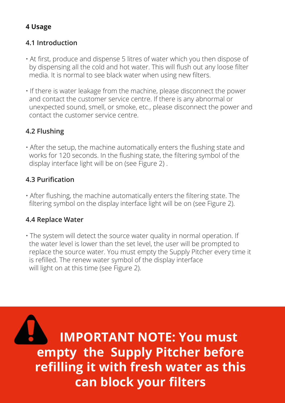#### **4 Usage**

#### **4.1 Introduction**

- At first, produce and dispense 5 litres of water which you then dispose of by dispensing all the cold and hot water. This will flush out any loose filter media. It is normal to see black water when using new filters.
- If there is water leakage from the machine, please disconnect the power and contact the customer service centre. If there is any abnormal or unexpected sound, smell, or smoke, etc., please disconnect the power and contact the customer service centre.

# **4.2 Flushing**

• After the setup, the machine automatically enters the flushing state and works for 120 seconds. In the flushing state, the filtering symbol of the display interface light will be on (see Figure 2) .

#### **4.3 Purification**

• After flushing, the machine automatically enters the filtering state. The filtering symbol on the display interface light will be on (see Figure 2).

#### **4.4 Replace Water**

• The system will detect the source water quality in normal operation. If the water level is lower than the set level, the user will be prompted to replace the source water. You must empty the Supply Pitcher every time it is refilled. The renew water symbol of the display interface will light on at this time (see Figure 2).

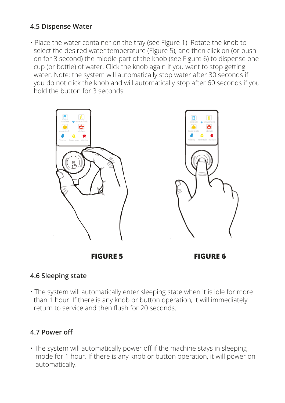#### **4.5 Dispense Water**

• Place the water container on the tray (see Figure 1). Rotate the knob to select the desired water temperature (Figure 5), and then click on (or push on for 3 second) the middle part of the knob (see Figure 6) to dispense one cup (or bottle) of water. Click the knob again if you want to stop getting water. Note: the system will automatically stop water after 30 seconds if you do not click the knob and will automatically stop after 60 seconds if you hold the button for 3 seconds.



**FIGURE 5 FIGURE 6**

#### **4.6 Sleeping state**

• The system will automatically enter sleeping state when it is idle for more than 1 hour. If there is any knob or button operation, it will immediately return to service and then flush for 20 seconds.

#### **4.7 Power off**

• The system will automatically power off if the machine stays in sleeping mode for 1 hour. If there is any knob or button operation, it will power on automatically.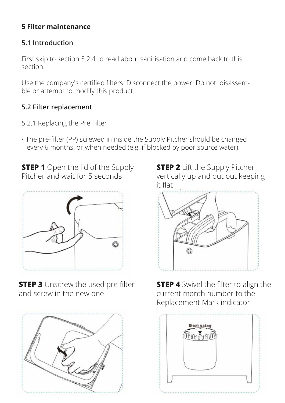# **5 Filter maintenance**

#### **5.1 Introduction**

First skip to section 5.2.4 to read about sanitisation and come back to this section.

Use the company's certified filters. Disconnect the power. Do not disassemble or attempt to modify this product.

# **5.2 Filter replacement**

- 5.2.1 Replacing the Pre Filter
- The pre-filter (PP) screwed in inside the Supply Pitcher should be changed every 6 months. or when needed (e.g. if blocked by poor source water).

**STEP 1** Open the lid of the Supply Pitcher and wait for 5 seconds



**STEP 3** Unscrew the used pre filter and screw in the new one



**STEP 2** Lift the Supply Pitcher vertically up and out out keeping it flat



**STEP 4** Swivel the filter to align the current month number to the Replacement Mark indicator

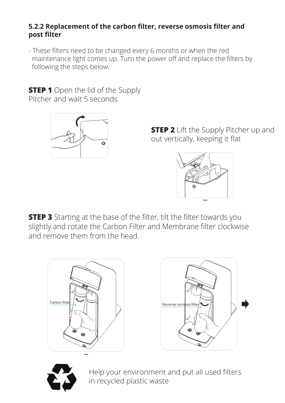#### **5.2.2 Replacement of the carbon filter, reverse osmosis filter and post filter**

- These filters need to be changed every 6 months or when the red maintenance light comes up. Turn the power off and replace the filters by following the steps below.

**STEP 1** Open the lid of the Supply Pitcher and wait 5 seconds



**STEP 2** Lift the Supply Pitcher up and out vertically, keeping it flat



**STEP 3** Starting at the base of the filter, tilt the filter towards you slightly and rotate the Carbon Filter and Membrane filter clockwise and remove them from the head.







Help your environment and put all used filters in recycled plastic waste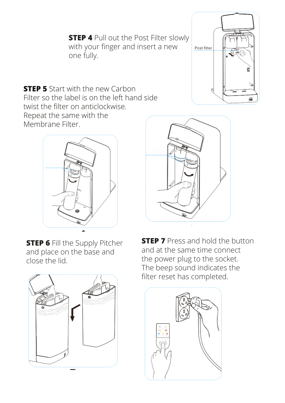**STEP 4** Pull out the Post Filter slowly with your finger and insert a new one fully.



**STEP 5** Start with the new Carbon Filter so the label is on the left hand side twist the filter on anticlockwise. Repeat the same with the Membrane Filter.



**STEP 6 Fill the Supply Pitcher** and place on the base and close the lid.





**STEP 7** Press and hold the button and at the same time connect the power plug to the socket. The beep sound indicates the filter reset has completed.

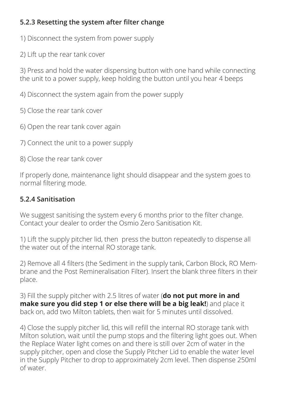#### **5.2.3 Resetting the system after filter change**

- 1) Disconnect the system from power supply
- 2) Lift up the rear tank cover

3) Press and hold the water dispensing button with one hand while connecting the unit to a power supply, keep holding the button until you hear 4 beeps

4) Disconnect the system again from the power supply

5) Close the rear tank cover

- 6) Open the rear tank cover again
- 7) Connect the unit to a power supply
- 8) Close the rear tank cover

If properly done, maintenance light should disappear and the system goes to normal filtering mode.

#### **5.2.4 Sanitisation**

We suggest sanitising the system every 6 months prior to the filter change. Contact your dealer to order the Osmio Zero Sanitisation Kit.

1) Lift the supply pitcher lid, then press the button repeatedly to dispense all the water out of the internal RO storage tank.

2) Remove all 4 filters (the Sediment in the supply tank, Carbon Block, RO Membrane and the Post Remineralisation Filter). Insert the blank three filters in their place.

3) Fill the supply pitcher with 2.5 litres of water (**do not put more in and make sure you did step 1 or else there will be a big leak!**) and place it back on, add two Milton tablets, then wait for 5 minutes until dissolved.

4) Close the supply pitcher lid, this will refill the internal RO storage tank with Milton solution, wait until the pump stops and the filtering light goes out. When the Replace Water light comes on and there is still over 2cm of water in the supply pitcher, open and close the Supply Pitcher Lid to enable the water level in the Supply Pitcher to drop to approximately 2cm level. Then dispense 250ml of water.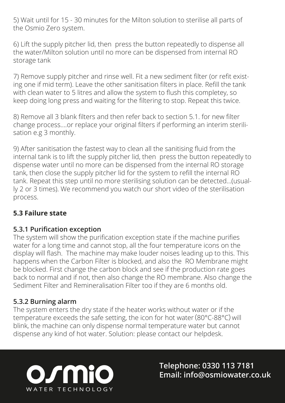5) Wait until for 15 - 30 minutes for the Milton solution to sterilise all parts of the Osmio Zero system.

6) Lift the supply pitcher lid, then press the button repeatedly to dispense all the water/Milton solution until no more can be dispensed from internal RO storage tank

7) Remove supply pitcher and rinse well. Fit a new sediment filter (or refit existing one if mid term). Leave the other sanitisation filters in place. Refill the tank with clean water to 5 litres and allow the system to flush this completey, so keep doing long press and waiting for the filtering to stop. Repeat this twice.

8) Remove all 3 blank filters and then refer back to section 5.1. for new filter change process....or replace your original filters if performing an interim sterilisation e.g 3 monthly.

9) After sanitisation the fastest way to clean all the sanitising fluid from the internal tank is to lift the supply pitcher lid, then press the button repeatedly to dispense water until no more can be dispensed from the internal RO storage tank, then close the supply pitcher lid for the system to refill the internal RO tank. Repeat this step until no more sterilising solution can be detected...(usually 2 or 3 times). We recommend you watch our short video of the sterilisation process.

#### **5.3 Failure state**

#### **5.3.1 Purification exception**

The system will show the purification exception state if the machine purifies water for a long time and cannot stop, all the four temperature icons on the display will flash. The machine may make louder noises leading up to this. This happens when the Carbon Filter is blocked, and also the RO Membrane might be blocked. First change the carbon block and see if the production rate goes back to normal and if not, then also change the RO membrane. Also change the Sediment Filter and Remineralisation Filter too if they are 6 months old.

#### **5.3.2 Burning alarm**

The system enters the dry state if the heater works without water or if the temperature exceeds the safe setting, the icon for hot water(80°C-88°C)will blink, the machine can only dispense normal temperature water but cannot dispense any kind of hot water. Solution: please contact our helpdesk.



**Telephone: 0330 113 7181** osmio **Email: info@osmiowater.co.uk**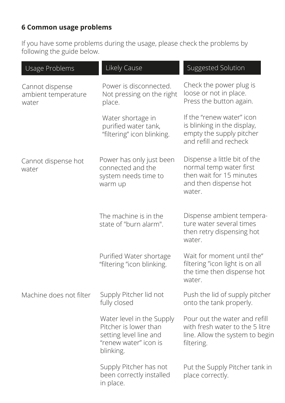# **6 Common usage problems**

If you have some problems during the usage, please check the problems by following the guide below.

| Usage Problems                                  | Likely Cause                                                                                                       | <b>Suggested Solution</b>                                                                                              |
|-------------------------------------------------|--------------------------------------------------------------------------------------------------------------------|------------------------------------------------------------------------------------------------------------------------|
| Cannot dispense<br>ambient temperature<br>water | Power is disconnected.<br>Not pressing on the right<br>place.                                                      | Check the power plug is<br>loose or not in place.<br>Press the button again.                                           |
|                                                 | Water shortage in<br>purified water tank,<br>"filtering" icon blinking.                                            | If the "renew water" icon<br>is blinking in the display,<br>empty the supply pitcher<br>and refill and recheck         |
| Cannot dispense hot<br>water                    | Power has only just been<br>connected and the<br>system needs time to<br>warm up                                   | Dispense a little bit of the<br>normal temp water first<br>then wait for 15 minutes<br>and then dispense hot<br>water. |
|                                                 | The machine is in the<br>state of "burn alarm".                                                                    | Dispense ambient tempera-<br>ture water several times<br>then retry dispensing hot<br>water.                           |
|                                                 | Purified Water shortage<br>"filtering "icon blinking.                                                              | Wait for moment until the"<br>filtering "icon light is on all<br>the time then dispense hot<br>water.                  |
| Machine does not filter                         | Supply Pitcher lid not<br>fully closed                                                                             | Push the lid of supply pitcher<br>onto the tank properly.                                                              |
|                                                 | Water level in the Supply<br>Pitcher is lower than<br>setting level line and<br>"renew water" icon is<br>blinking. | Pour out the water and refill<br>with fresh water to the 5 litre<br>line. Allow the system to begin<br>filtering.      |
|                                                 | Supply Pitcher has not<br>been correctly installed<br>in place.                                                    | Put the Supply Pitcher tank in<br>place correctly.                                                                     |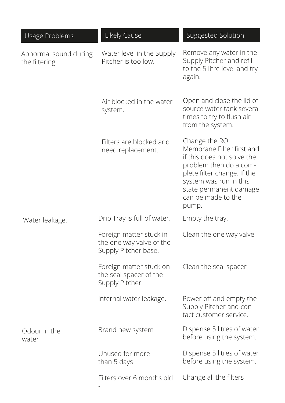| Usage Problems                          | Likely Cause                                                                | Suggested Solution                                                                                                                                                                                                   |
|-----------------------------------------|-----------------------------------------------------------------------------|----------------------------------------------------------------------------------------------------------------------------------------------------------------------------------------------------------------------|
| Abnormal sound during<br>the filtering. | Water level in the Supply<br>Pitcher is too low.                            | Remove any water in the<br>Supply Pitcher and refill<br>to the 5 litre level and try<br>again.                                                                                                                       |
|                                         | Air blocked in the water<br>system.                                         | Open and close the lid of<br>source water tank several<br>times to try to flush air<br>from the system.                                                                                                              |
|                                         | Filters are blocked and<br>need replacement.                                | Change the RO<br>Membrane Filter first and<br>if this does not solve the<br>problem then do a com-<br>plete filter change. If the<br>system was run in this<br>state permanent damage<br>can be made to the<br>pump. |
| Water leakage.                          | Drip Tray is full of water.                                                 | Empty the tray.                                                                                                                                                                                                      |
|                                         | Foreign matter stuck in<br>the one way valve of the<br>Supply Pitcher base. | Clean the one way valve                                                                                                                                                                                              |
|                                         | Foreign matter stuck on<br>the seal spacer of the<br>Supply Pitcher.        | Clean the seal spacer                                                                                                                                                                                                |
|                                         | Internal water leakage.                                                     | Power off and empty the<br>Supply Pitcher and con-<br>tact customer service.                                                                                                                                         |
| Odour in the<br>water                   | Brand new system                                                            | Dispense 5 litres of water<br>before using the system.                                                                                                                                                               |
|                                         | Unused for more<br>than 5 days                                              | Dispense 5 litres of water<br>before using the system.                                                                                                                                                               |
|                                         | Filters over 6 months old                                                   | Change all the filters                                                                                                                                                                                               |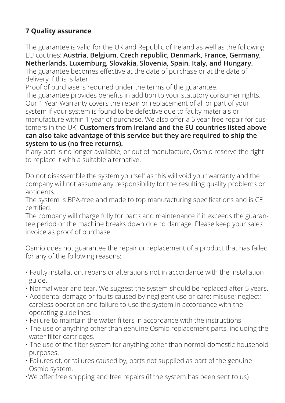# **7 Quality assurance**

The guarantee is valid for the UK and Republic of Ireland as well as the following EU coutries: **Austria, Belgium, Czech republic, Denmark, France, Germany, Netherlands, Luxemburg, Slovakia, Slovenia, Spain, Italy, and Hungary.**

The guarantee becomes effective at the date of purchase or at the date of delivery if this is later.

Proof of purchase is required under the terms of the guarantee.

The guarantee provides benefits in addition to your statutory consumer rights. Our 1 Year Warranty covers the repair or replacement of all or part of your system if your system is found to be defective due to faulty materials or manufacture within 1 year of purchase. We also offer a 5 year free repair for customers in the UK. **Customers from Ireland and the EU countries listed above can also take advantage of this service but they are required to ship the system to us (no free returns).**

If any part is no longer available, or out of manufacture, Osmio reserve the right to replace it with a suitable alternative.

Do not disassemble the system yourself as this will void your warranty and the company will not assume any responsibility for the resulting quality problems or accidents.

The system is BPA-free and made to top manufacturing specifications and is CE certified.

The company will charge fully for parts and maintenance if it exceeds the guarantee period or the machine breaks down due to damage. Please keep your sales invoice as proof of purchase.

Osmio does not guarantee the repair or replacement of a product that has failed for any of the following reasons:

- Faulty installation, repairs or alterations not in accordance with the installation guide.
- Normal wear and tear. We suggest the system should be replaced after 5 years.
- Accidental damage or faults caused by negligent use or care; misuse; neglect; careless operation and failure to use the system in accordance with the operating guidelines.
- Failure to maintain the water filters in accordance with the instructions.
- The use of anything other than genuine Osmio replacement parts, including the water filter cartridges.
- The use of the filter system for anything other than normal domestic household purposes.
- Failures of, or failures caused by, parts not supplied as part of the genuine Osmio system.
- •We offer free shipping and free repairs (if the system has been sent to us)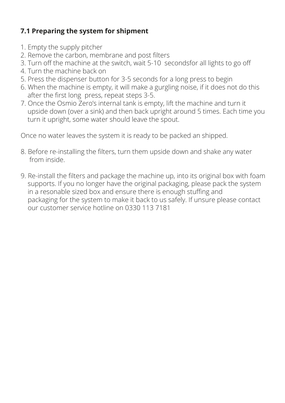# **7.1 Preparing the system for shipment**

- 1. Empty the supply pitcher
- 2. Remove the carbon, membrane and post filters
- 3. Turn off the machine at the switch, wait 5-10 secondsfor all lights to go off
- 4. Turn the machine back on
- 5. Press the dispenser button for 3-5 seconds for a long press to begin
- 6. When the machine is empty, it will make a gurgling noise, if it does not do this after the first long press, repeat steps 3-5.
- 7. Once the Osmio Zero's internal tank is empty, lift the machine and turn it upside down (over a sink) and then back upright around 5 times. Each time you turn it upright, some water should leave the spout.

Once no water leaves the system it is ready to be packed an shipped.

- 8. Before re-installing the filters, turn them upside down and shake any water from inside.
- 9. Re-install the filters and package the machine up, into its original box with foam supports. If you no longer have the original packaging, please pack the system in a resonable sized box and ensure there is enough stuffing and packaging for the system to make it back to us safely. If unsure please contact our customer service hotline on 0330 113 7181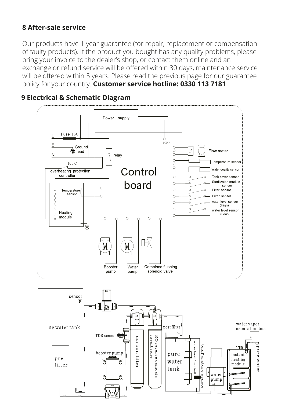#### **8 After-sale service**

Our products have 1 year guarantee (for repair, replacement or compensation of faulty products). If the product you bought has any quality problems, please bring your invoice to the dealer's shop, or contact them online and an exchange or refund service will be offered within 30 days, maintenance service will be offered within 5 years. Please read the previous page for our guarantee policy for your country. **Customer service hotline: 0330 113 7181** 



#### **9 Electrical & Schematic Diagram**